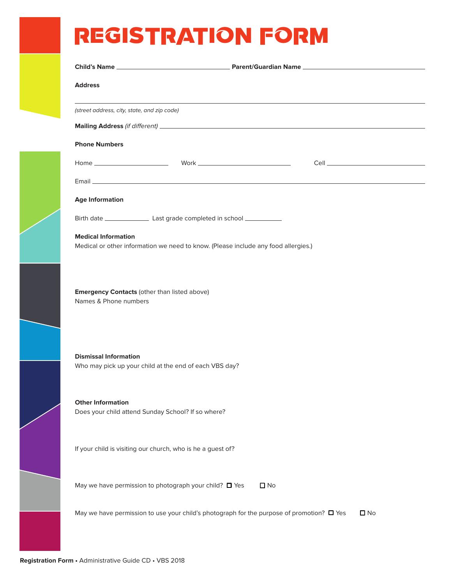## REGISTRATION FORM

| <b>Address</b>                              |                                                                                                |              |              |
|---------------------------------------------|------------------------------------------------------------------------------------------------|--------------|--------------|
| (street address, city, state, and zip code) |                                                                                                |              |              |
|                                             |                                                                                                |              |              |
| <b>Phone Numbers</b>                        |                                                                                                |              |              |
|                                             |                                                                                                |              |              |
|                                             |                                                                                                |              |              |
| <b>Age Information</b>                      |                                                                                                |              |              |
|                                             |                                                                                                |              |              |
| <b>Medical Information</b>                  |                                                                                                |              |              |
|                                             | Medical or other information we need to know. (Please include any food allergies.)             |              |              |
|                                             |                                                                                                |              |              |
| Names & Phone numbers                       | <b>Emergency Contacts (other than listed above)</b>                                            |              |              |
| <b>Dismissal Information</b>                | Who may pick up your child at the end of each VBS day?                                         |              |              |
| <b>Other Information</b>                    | Does your child attend Sunday School? If so where?                                             |              |              |
|                                             | If your child is visiting our church, who is he a guest of?                                    |              |              |
|                                             | May we have permission to photograph your child? □ Yes                                         | $\square$ No |              |
|                                             | May we have permission to use your child's photograph for the purpose of promotion? $\Box$ Yes |              | $\square$ No |
|                                             |                                                                                                |              |              |